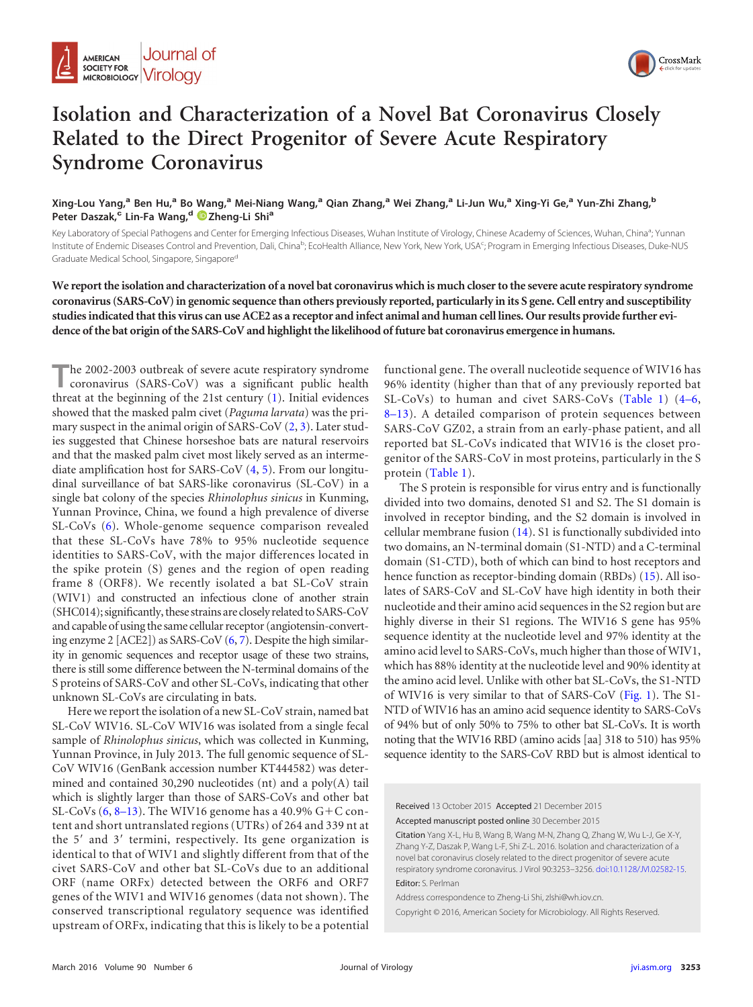

## **Isolation and Characterization of a Novel Bat Coronavirus Closely Related to the Direct Progenitor of Severe Acute Respiratory Syndrome Coronavirus**

Xing-Lou Yang,<sup>a</sup> Ben Hu,<sup>a</sup> Bo Wang,<sup>a</sup> Mei-Niang Wang,<sup>a</sup> Qian Zhang,<sup>a</sup> Wei Zhang,<sup>a</sup> Li-Jun Wu,<sup>a</sup> Xing-Yi Ge,<sup>a</sup> Yun-Zhi Zhang,<sup>b</sup> **Peter Daszak,<sup>c</sup> Lin-Fa Wang,<sup>d</sup> [Zheng-Li Shi](http://orcid.org/0000-0001-8089-163X)<sup>a</sup>**

Key Laboratory of Special Pathogens and Center for Emerging Infectious Diseases, Wuhan Institute of Virology, Chinese Academy of Sciences, Wuhan, China<sup>a</sup>; Yunnan Institute of Endemic Diseases Control and Prevention, Dali, China<sup>b</sup>; EcoHealth Alliance, New York, New York, USA<sup>c</sup>; Program in Emerging Infectious Diseases, Duke-NUS Graduate Medical School, Singapore, Singapore<sup>d</sup>

**We report the isolation and characterization of a novel bat coronavirus which is much closer to the severe acute respiratory syndrome coronavirus (SARS-CoV) in genomic sequence than others previously reported, particularly in its S gene. Cell entry and susceptibility studies indicated that this virus can use ACE2 as a receptor and infect animal and human cell lines. Our results provide further evidence of the bat origin of the SARS-CoV and highlight the likelihood of future bat coronavirus emergence in humans.**

The 2002-2003 outbreak of severe acute respiratory syndrome<br>coronavirus (SARS-CoV) was a significant public health threat at the beginning of the 21st century [\(1\)](#page-2-0). Initial evidences showed that the masked palm civet (*Paguma larvata*) was the primary suspect in the animal origin of SARS-CoV [\(2,](#page-2-1) [3\)](#page-3-0). Later studies suggested that Chinese horseshoe bats are natural reservoirs and that the masked palm civet most likely served as an intermediate amplification host for SARS-CoV [\(4,](#page-3-1) [5\)](#page-3-2). From our longitudinal surveillance of bat SARS-like coronavirus (SL-CoV) in a single bat colony of the species *Rhinolophus sinicus* in Kunming, Yunnan Province, China, we found a high prevalence of diverse SL-CoVs [\(6\)](#page-3-3). Whole-genome sequence comparison revealed that these SL-CoVs have 78% to 95% nucleotide sequence identities to SARS-CoV, with the major differences located in the spike protein (S) genes and the region of open reading frame 8 (ORF8). We recently isolated a bat SL-CoV strain (WIV1) and constructed an infectious clone of another strain (SHC014); significantly, these strains are closely related to SARS-CoV and capable of using the same cellular receptor (angiotensin-converting enzyme 2 [ACE2]) as SARS-CoV [\(6,](#page-3-3) [7\)](#page-3-4). Despite the high similarity in genomic sequences and receptor usage of these two strains, there is still some difference between the N-terminal domains of the S proteins of SARS-CoV and other SL-CoVs, indicating that other unknown SL-CoVs are circulating in bats.

Here we report the isolation of a new SL-CoV strain, named bat SL-CoV WIV16. SL-CoV WIV16 was isolated from a single fecal sample of *Rhinolophus sinicus*, which was collected in Kunming, Yunnan Province, in July 2013. The full genomic sequence of SL-CoV WIV16 (GenBank accession number KT444582) was determined and contained 30,290 nucleotides (nt) and a poly(A) tail which is slightly larger than those of SARS-CoVs and other bat SL-CoVs  $(6, 8-13)$  $(6, 8-13)$  $(6, 8-13)$  $(6, 8-13)$  $(6, 8-13)$ . The WIV16 genome has a 40.9%  $G+C$  content and short untranslated regions (UTRs) of 264 and 339 nt at the 5' and 3' termini, respectively. Its gene organization is identical to that of WIV1 and slightly different from that of the civet SARS-CoV and other bat SL-CoVs due to an additional ORF (name ORFx) detected between the ORF6 and ORF7 genes of the WIV1 and WIV16 genomes (data not shown). The conserved transcriptional regulatory sequence was identified upstream of ORFx, indicating that this is likely to be a potential

functional gene. The overall nucleotide sequence of WIV16 has 96% identity (higher than that of any previously reported bat SL-CoVs) to human and civet SARS-CoVs [\(Table 1\)](#page-1-0) [\(4](#page-3-1)[–](#page-3-2)[6,](#page-3-3) [8](#page-3-5)[–](#page-3-6)[13\)](#page-3-7). A detailed comparison of protein sequences between SARS-CoV GZ02, a strain from an early-phase patient, and all reported bat SL-CoVs indicated that WIV16 is the closet progenitor of the SARS-CoV in most proteins, particularly in the S protein [\(Table 1\)](#page-1-0).

The S protein is responsible for virus entry and is functionally divided into two domains, denoted S1 and S2. The S1 domain is involved in receptor binding, and the S2 domain is involved in cellular membrane fusion [\(14\)](#page-3-8). S1 is functionally subdivided into two domains, an N-terminal domain (S1-NTD) and a C-terminal domain (S1-CTD), both of which can bind to host receptors and hence function as receptor-binding domain (RBDs) [\(15\)](#page-3-9). All isolates of SARS-CoV and SL-CoV have high identity in both their nucleotide and their amino acid sequences in the S2 region but are highly diverse in their S1 regions. The WIV16 S gene has 95% sequence identity at the nucleotide level and 97% identity at the amino acid level to SARS-CoVs, much higher than those of WIV1, which has 88% identity at the nucleotide level and 90% identity at the amino acid level. Unlike with other bat SL-CoVs, the S1-NTD of WIV16 is very similar to that of SARS-CoV [\(Fig. 1\)](#page-1-1). The S1- NTD of WIV16 has an amino acid sequence identity to SARS-CoVs of 94% but of only 50% to 75% to other bat SL-CoVs. It is worth noting that the WIV16 RBD (amino acids [aa] 318 to 510) has 95% sequence identity to the SARS-CoV RBD but is almost identical to

Received 13 October 2015 Accepted 21 December 2015 Accepted manuscript posted online 30 December 2015

Citation Yang X-L, Hu B, Wang B, Wang M-N, Zhang Q, Zhang W, Wu L-J, Ge X-Y, Zhang Y-Z, Daszak P, Wang L-F, Shi Z-L. 2016. Isolation and characterization of a novel bat coronavirus closely related to the direct progenitor of severe acute respiratory syndrome coronavirus. J Virol 90:3253–3256. [doi:10.1128/JVI.02582-15.](http://dx.doi.org/10.1128/JVI.02582-15) Editor: S. Perlman

Address correspondence to Zheng-Li Shi, zlshi@wh.iov.cn.

Copyright © 2016, American Society for Microbiology. All Rights Reserved.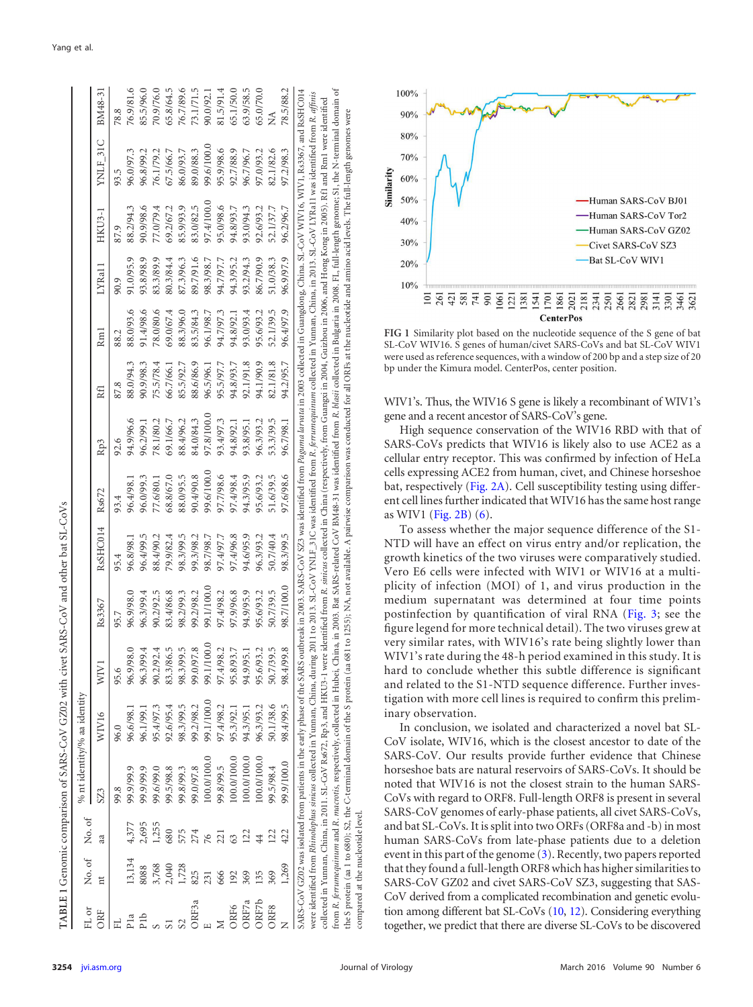|                                    |                                        |                | TABLE 1 Genomic comparison of SARS-CoV GZ02 with civet SARS-CoV and other bat SL-CoVs |                             |                                |            |           |            |            |           |           |           |            |            |                        |
|------------------------------------|----------------------------------------|----------------|---------------------------------------------------------------------------------------|-----------------------------|--------------------------------|------------|-----------|------------|------------|-----------|-----------|-----------|------------|------------|------------------------|
| $\mathop{\mathrm{FL}}\nolimits$ or |                                        | No. of No. of  |                                                                                       | % nt identity/% aa identity |                                |            |           |            |            |           |           |           |            |            |                        |
| ORF                                |                                        | aa             |                                                                                       |                             | WIV.                           | Rs3367     | RsSHC014  | Rs672      | Rp3        | R€        | Rm l      | LYRa1     | $HKU3-1$   | YNLF_31C   | BM48-31                |
|                                    |                                        |                | 9.8                                                                                   | 96.0                        | 95.6                           |            |           |            |            |           |           |           |            | 3.5        | 78.8                   |
|                                    | 13,134                                 |                | 99.9/99.9                                                                             | 96.6/98.1                   | 96.9/98.0                      | 96.9/98.0  | 96.8/98.1 | 96.4/98.1  | 94.9/96.6  | 88.0/94.3 | 88.0/93.6 | 91.0/95.9 | 88.2/94.3  | 96.0/97.3  | 76.9/81.6              |
|                                    | 8088                                   | 4,377<br>2,695 | 99.9/99.9                                                                             | 96.1/99.1                   | 96.3/99.4                      | 96.3/99.4  | 96.4/99.5 | 96.0/99.3  | 96.2/99.1  | 90.9/98.3 | 91.4/98.6 | 93.8/98.9 | 90.9/98.6  | 96.8/99.2  | 85.5/96.0              |
|                                    |                                        | 1,255          | 99,6/99.0                                                                             | 95.4/97.3                   |                                | 90.2/92.5  | 88.4/90.2 | 77.6/80.1  | 78.1/80.2  | 75.5/78.4 | 78.0/80.6 | 83.3/89.9 | 77.0/79.4  | 76.1/79.2  | 70.9/76.0              |
|                                    |                                        | 680            | 99.5/98.8                                                                             | 92.6/95.4                   | 86.5<br>90.2/92.4<br>83.3/86.5 | 83.4/86.8  | 79.9/82.4 | 68.8/67.0  | 69.1/66.7  | 66.7/66.1 | 69.0/67.4 | 80.3/84.4 | 69.2/67.2  | 67.5/66.7  | 65.8/64.5              |
|                                    | $3,768$<br>$2,040$<br>$1,728$<br>$825$ | 575            | 99.8/99.3                                                                             | 98.3/99.5                   | 98.3/99.5                      | 98.2/99.3  | 98.3/99.5 | 88.0/95.5  | 88.4/96.2  | 85.5/92.7 | 88.3/96.0 | 87.3/96.3 | 85.9/93.9  | 86.0/93.7  |                        |
| DEBa                               |                                        | 274            | 9.0/97.8                                                                              | 99.2/98.2                   | 99.0/97.8                      | 99.2/98.2  | 99.3/98.2 | 90.4/90.8  | 84.0/84.3  | 88.6/86.9 | 83.5/84.3 | 89.7/91.6 | 83.0/82.5  | 89.0/88.3  | 76.7/89.6<br>73.1/71.5 |
|                                    | 231                                    | 76             | 100.0/100.0                                                                           | 99.1/100.0                  | 100.0<br>99.1/1                | 99.1/100.0 | 98.7/98.7 | 99.6/100.0 | 0.001/8.76 | 96.5/96.1 | 96.1/98.7 | 98.3/98.7 | 0.001/4.76 | 99.6/100.0 | 90.0/92.1              |
| M<br>ORF6<br>ORF7a                 | 666                                    | 221            | 39.8/99.5                                                                             | 97.4/98.2                   | 98.2<br>97.4/9                 | 97.4/98.2  | 97.4/97.7 | 97.7/98.6  | 93.4/97.3  | 95.5/97.7 | 94.7/97.3 | 94.7/97.7 | 95.0/98.6  | 95.9/98.6  | 81.5/91.4              |
|                                    | 192                                    | 63             | 100.0/100.0                                                                           | 95.3/92.1                   | 95.8/93.7                      | 97.9/96.8  | 97.4/96.8 | 97.4/98.4  | 94.8/92.1  | 94.8/93.7 | 94.8/92.1 | 94.3/95.2 | 94.8/93.7  | 92.7/88.9  | 65.1/50.0              |
|                                    | 369                                    | 122            | 100.0/100.0                                                                           | 94.3/95.1                   | 94.9/95.1                      | 94.9/95.9  | 94.6/95.9 | 94.3/95.9  | 93.8/95.1  | 92.1/91.8 | 93.0/93.4 | 93.2/94.3 | 93.0/94.3  | 96.7/96.7  | 63.9/58.5              |

ORF6 192 63 100.0/100.01 95.3/93.1 95.3/93.4 97.4/96.8 97.4/96.8 97.4/96.8 97.4/95.8 97.92.1 93.7/92.1 93.7/92.1 93.7/92.1/50.0 03.1/50.0 94.8/93.7 94.8/93.7 94.98.9 65.1/50.0 ORF7a 369 122 122 123/95.1 94.3/95.1 94.6/95.9 94.6/95.9 94.6/95.9 94.6/95.9 94.6/95.9 94.9/95.1 94.3/95.1 94.9/94.3 95.9/94.3 95.9/94.3 95.2/96.7 63.9/94.3 94.9/95.1 94.3/95.1 94.3/95.1 94.3/95.1 94.9/95.1 94.9/95.1 94.9/ ORF7b 135 44 100.0/100.0 96.3/93.2 95.6/93.2 95.6/93.2 96.3/93.2 95.6/93.2 96.3/93.2 94.1/90.9 95.6/93.2 86.7/90.9 92.6/93.2 97.0/93.2 65.0/70.0 ORF8 369 122 99.5/98.4 50.1/38.6 50.7/39.5 50.7/39.5 50.7/40.4 51.6/39.5 53.3/39.5 82.1/81.8 52.1/39.5 51.0/38.3 52.1/37.7 82.1/82.6 NA

63.9/58.5 65.0/70.0

96.7/96.7

93.0/94.3 92.6/93.2 52.1/37.7

93.0/93.4 95.6/93.2

92.1/91.8 94.1/90.9 82.1/81.8

94.3/95.9

94.9/95.9 95.6/93.2 50.7/39.5

94.3/95.1 96.3/93.2 50.1/38.6

0.0/100.0  $0.00100.00$ 

 $\overline{22}$ 122

 $44$ 

135 369

<span id="page-1-0"></span>ORF7b ORF7a

ORF8

99.5/98.4

96.3/93.2 53.3/39.5

95.6/93.2 51.6/39.5

96.3/93.2 50.7/40.4

95.6/93.2 50.7/39.5

97.0/93.2 82.1/82.6

86.7/90.9 93.2/94.3 51.0/38.3

52.1/39.5

 $\tilde{\Sigma}$ 

was identified from R. *blasii* collected in Bulgaria in 2008. FL, full-length genome; S1, the N-terminal domain of 78.5/88.2 N 1,290.7.2001.0 90.010.0 90.01.05.199.0 9.100.199.0 1,260.71.3 9.3.6.7/96 9.08.7/98.0 9.0011.780.0 90.001.000.0 96.41.98.2/97.0 97.2/9 97.07.9 97.2/9 97.07.9 97.2/9 97.07.9 97.07.9 97.2/9 97.07.9 97.2/98.2/97.07.9 7.2/9 9 ARS-CoV GZ02 was isolated from patients in the early phase of the SARS outbreak in 2003. SARS-CoV SZ3 was identified from Paguma larvata in 2003 collected in Guangdong, China. SL-CoV WIV19, Rs3567, and RsSHC014 from R. /errumequitumum and R. macrotis, respectively, collected in Hubei, China, in 2003. Bat SARS-related CoV BM48-31 was identified from R. blasii collected in Bulgaria in 2008. FL, full-length genome; S1, the N-termina SARS-COV GZO2 was isolated from patients in the early phase of the SARS outbreak in 2003. SARS-COV SZ3 was identified from Paguma larvata in 2003 collected in Guangdong, China. SL-CoV WIV1, Rs3367, and RsSHC014 were identified from Rhindophus sinicus collected in Yuman, China, during 2011 to 2013. SL-CoV YNLF\_31C was identified from R. ferrumequinum collected in Yuman, China, in 2013. SL-CoV LYRa11 was identified from R. affinis were identified from Rhinalophus sinicus collected in Yunnan, China, during 2011 to 2013. SL-CoV YNLF\_31C was identified from R. ferrumequinum collected in Yunnan, China, in 2013. SL-CoV LYRa11 was identified from R. affin collected in Yunnan, China, in 2011. SL-CoV Rs672, Rp3, and HKU3-1 were identified from R. sinicus collected in China (respectively, from Guangxi in 2004, Guizhou in 2006, and Hong Kong in 2005). Rf1 and Rm1 were identifie collected in Yunnan, China, in 2011. SL-CoV Rs672, Rp3, and HKU3-1 were identified from R. sinicus collected in China (respectively, from Guangxi in 2004, Guizhou in 2006, and Hong Kong in 2005). Rth and Rm1 were identifie the S protein (aa 1 to 680); S2, the C-terminal domain of the S protein (aa 681 to 1255); NA, not available. A pairwise comparison was conducted for all ORFs at the nucleotide and amino acid levels. The full-length genomes the S protein (aa 1 to 680); S2, the C-terminal domain of the S protein (aa 681 to 1255); NA, not available. A pairwise comparison was conducted for all OREs at the nucleotide and amino acid levels. The full-length genomes 97.2/98.3 96.2/96.7 96.9/97.9 96.4/97.9 94.2/95.7 96.7/98.1 97.6/98.6 rom R. ferrumequinum and R. macrotis, respectively, collected in Hubei, China, in 2003. Bat SARS-related CoV BM48-31 98.3/99.5 98.7/100.0 8.4/99.8 98.4/99.5 99.9/100.0 compared at the nucleotide level. compared at the nucleotide level. 422 1,269  $\overline{z}$ 



<span id="page-1-1"></span>**FIG 1** Similarity plot based on the nucleotide sequence of the S gene of bat SL-CoV WIV16. S genes of human/civet SARS-CoVs and bat SL-CoV WIV1 were used as reference sequences, with a window of 200 bp and a step size of 20 bp under the Kimura model. CenterPos, center position.

WIV1's. Thus, the WIV16 S gene is likely a recombinant of WIV1's gene and a recent ancestor of SARS-CoV's gene.

High sequence conservation of the WIV16 RBD with that of SARS-CoVs predicts that WIV16 is likely also to use ACE2 as a cellular entry receptor. This was confirmed by infection of HeLa cells expressing ACE2 from human, civet, and Chinese horseshoe bat, respectively [\(Fig. 2A\)](#page-2-2). Cell susceptibility testing using different cell lines further indicated that WIV16 has the same host range as WIV1 [\(Fig. 2B\)](#page-2-2) [\(6\)](#page-3-3).

To assess whether the major sequence difference of the S1- NTD will have an effect on virus entry and/or replication, the growth kinetics of the two viruses were comparatively studied. Vero E6 cells were infected with WIV1 or WIV16 at a multiplicity of infection (MOI) of 1, and virus production in the medium supernatant was determined at four time points postinfection by quantification of viral RNA [\(Fig. 3;](#page-2-3) see the figure legend for more technical detail). The two viruses grew at very similar rates, with WIV16's rate being slightly lower than WIV1's rate during the 48-h period examined in this study. It is hard to conclude whether this subtle difference is significant and related to the S1-NTD sequence difference. Further investigation with more cell lines is required to confirm this preliminary observation.

In conclusion, we isolated and characterized a novel bat SL-CoV isolate, WIV16, which is the closest ancestor to date of the SARS-CoV. Our results provide further evidence that Chinese horseshoe bats are natural reservoirs of SARS-CoVs. It should be noted that WIV16 is not the closest strain to the human SARS-CoVs with regard to ORF8. Full-length ORF8 is present in several SARS-CoV genomes of early-phase patients, all civet SARS-CoVs, and bat SL-CoVs. It is split into two ORFs (ORF8a and -b) in most human SARS-CoVs from late-phase patients due to a deletion event in this part of the genome [\(3\)](#page-3-0). Recently, two papers reported that they found a full-length ORF8 which has higher similarities to SARS-CoV GZ02 and civet SARS-CoV SZ3, suggesting that SAS-CoV derived from a complicated recombination and genetic evolution among different bat SL-CoVs [\(10,](#page-3-10) [12\)](#page-3-6). Considering everything together, we predict that there are diverse SL-CoVs to be discovered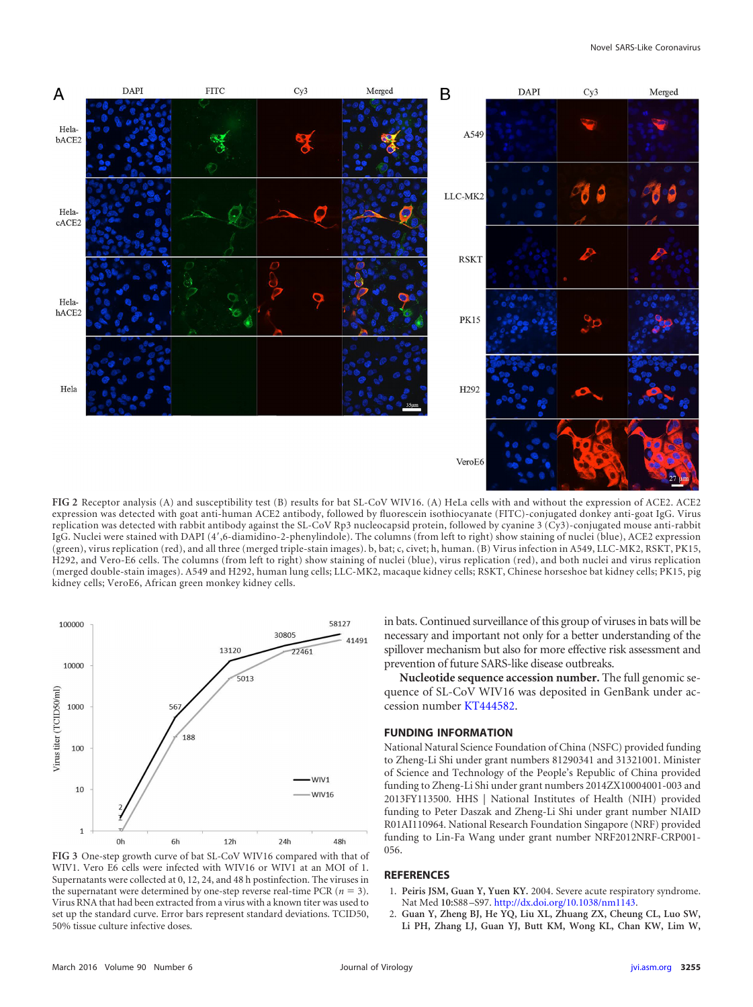

<span id="page-2-2"></span>**FIG 2** Receptor analysis (A) and susceptibility test (B) results for bat SL-CoV WIV16. (A) HeLa cells with and without the expression of ACE2. ACE2 expression was detected with goat anti-human ACE2 antibody, followed by fluorescein isothiocyanate (FITC)-conjugated donkey anti-goat IgG. Virus replication was detected with rabbit antibody against the SL-CoV Rp3 nucleocapsid protein, followed by cyanine 3 (Cy3)-conjugated mouse anti-rabbit IgG. Nuclei were stained with DAPI (4',6-diamidino-2-phenylindole). The columns (from left to right) show staining of nuclei (blue), ACE2 expression (green), virus replication (red), and all three (merged triple-stain images). b, bat; c, civet; h, human. (B) Virus infection in A549, LLC-MK2, RSKT, PK15, H292, and Vero-E6 cells. The columns (from left to right) show staining of nuclei (blue), virus replication (red), and both nuclei and virus replication (merged double-stain images). A549 and H292, human lung cells; LLC-MK2, macaque kidney cells; RSKT, Chinese horseshoe bat kidney cells; PK15, pig kidney cells; VeroE6, African green monkey kidney cells.



<span id="page-2-3"></span>**FIG 3** One-step growth curve of bat SL-CoV WIV16 compared with that of WIV1. Vero E6 cells were infected with WIV16 or WIV1 at an MOI of 1. Supernatants were collected at 0, 12, 24, and 48 h postinfection. The viruses in the supernatant were determined by one-step reverse real-time PCR ( $n = 3$ ). Virus RNA that had been extracted from a virus with a known titer was used to set up the standard curve. Error bars represent standard deviations. TCID50, 50% tissue culture infective doses.

in bats. Continued surveillance of this group of viruses in bats will be necessary and important not only for a better understanding of the spillover mechanism but also for more effective risk assessment and prevention of future SARS-like disease outbreaks.

**Nucleotide sequence accession number.** The full genomic sequence of SL-CoV WIV16 was deposited in GenBank under accession number [KT444582.](http://www.ncbi.nlm.nih.gov/nuccore/KT444582)

## **FUNDING INFORMATION**

National Natural Science Foundation of China (NSFC) provided funding to Zheng-Li Shi under grant numbers 81290341 and 31321001. Minister of Science and Technology of the People's Republic of China provided funding to Zheng-Li Shi under grant numbers 2014ZX10004001-003 and 2013FY113500. HHS | National Institutes of Health (NIH) provided funding to Peter Daszak and Zheng-Li Shi under grant number NIAID R01AI110964. National Research Foundation Singapore (NRF) provided funding to Lin-Fa Wang under grant number NRF2012NRF-CRP001- 056.

## <span id="page-2-0"></span>**REFERENCES**

- <span id="page-2-1"></span>1. **Peiris JSM, Guan Y, Yuen KY.** 2004. Severe acute respiratory syndrome. Nat Med **10:**S88 –S97. [http://dx.doi.org/10.1038/nm1143.](http://dx.doi.org/10.1038/nm1143)
- 2. **Guan Y, Zheng BJ, He YQ, Liu XL, Zhuang ZX, Cheung CL, Luo SW, Li PH, Zhang LJ, Guan YJ, Butt KM, Wong KL, Chan KW, Lim W,**